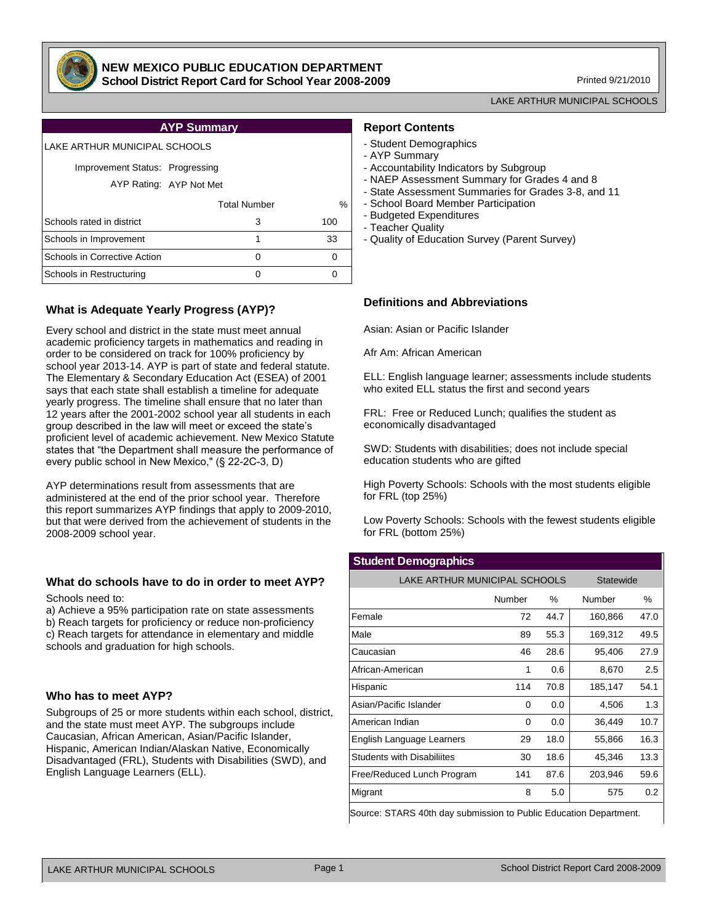

### **NEW MEXICO PUBLIC EDUCATION DEPARTMENT School District Report Card for School Year 2008-2009**

Printed 9/21/2010

LAKE ARTHUR MUNICIPAL SCHOOLS

| <b>AYP Summary</b> |  |
|--------------------|--|
|                    |  |

| LAKE ARTHUR MUNICIPAL SCHOOLS                              |                     |      |  |  |  |  |  |  |  |  |  |
|------------------------------------------------------------|---------------------|------|--|--|--|--|--|--|--|--|--|
| Improvement Status: Progressing<br>AYP Rating: AYP Not Met |                     |      |  |  |  |  |  |  |  |  |  |
|                                                            | <b>Total Number</b> | $\%$ |  |  |  |  |  |  |  |  |  |
| Schools rated in district                                  | 3                   | 100  |  |  |  |  |  |  |  |  |  |
| Schools in Improvement                                     | 1                   | 33   |  |  |  |  |  |  |  |  |  |
| Schools in Corrective Action                               | 0                   | 0    |  |  |  |  |  |  |  |  |  |
| Schools in Restructuring                                   | 0                   | 0    |  |  |  |  |  |  |  |  |  |
|                                                            |                     |      |  |  |  |  |  |  |  |  |  |

# **What is Adequate Yearly Progress (AYP)?**

Every school and district in the state must meet annual academic proficiency targets in mathematics and reading in order to be considered on track for 100% proficiency by school year 2013-14. AYP is part of state and federal statute. The Elementary & Secondary Education Act (ESEA) of 2001 says that each state shall establish a timeline for adequate yearly progress. The timeline shall ensure that no later than 12 years after the 2001-2002 school year all students in each group described in the law will meet or exceed the state's proficient level of academic achievement. New Mexico Statute states that "the Department shall measure the performance of every public school in New Mexico," (§ 22-2C-3, D)

AYP determinations result from assessments that are administered at the end of the prior school year. Therefore this report summarizes AYP findings that apply to 2009-2010, but that were derived from the achievement of students in the 2008-2009 school year.

# **What do schools have to do in order to meet AYP?**

Schools need to:

a) Achieve a 95% participation rate on state assessments b) Reach targets for proficiency or reduce non-proficiency c) Reach targets for attendance in elementary and middle schools and graduation for high schools.

# **Who has to meet AYP?**

Subgroups of 25 or more students within each school, district, and the state must meet AYP. The subgroups include Caucasian, African American, Asian/Pacific Islander, Hispanic, American Indian/Alaskan Native, Economically Disadvantaged (FRL), Students with Disabilities (SWD), and English Language Learners (ELL).

### **Report Contents**

- Student Demographics
- AYP Summary
- Accountability Indicators by Subgroup
- NAEP Assessment Summary for Grades 4 and 8
- State Assessment Summaries for Grades 3-8, and 11
- School Board Member Participation
- Budgeted Expenditures
- Teacher Quality
- Quality of Education Survey (Parent Survey)

# **Definitions and Abbreviations**

Asian: Asian or Pacific Islander

Afr Am: African American

ELL: English language learner; assessments include students who exited ELL status the first and second years

FRL: Free or Reduced Lunch; qualifies the student as economically disadvantaged

SWD: Students with disabilities; does not include special education students who are gifted

High Poverty Schools: Schools with the most students eligible for FRL (top 25%)

Low Poverty Schools: Schools with the fewest students eligible for FRL (bottom 25%)

### **Student Demographics**

| LAKE ARTHUR MUNICIPAL SCHOOLS     |        |      | Statewide |      |
|-----------------------------------|--------|------|-----------|------|
|                                   | Number | ℅    | Number    | %    |
| Female                            | 72     | 44.7 | 160,866   | 47.0 |
| Male                              | 89     | 55.3 | 169,312   | 49.5 |
| Caucasian                         | 46     | 28.6 | 95,406    | 27.9 |
| African-American                  | 1      | 0.6  | 8,670     | 2.5  |
| Hispanic                          | 114    | 70.8 | 185,147   | 54.1 |
| Asian/Pacific Islander            | 0      | 0.0  | 4,506     | 1.3  |
| American Indian                   | 0      | 0.0  | 36,449    | 10.7 |
| English Language Learners         | 29     | 18.0 | 55,866    | 16.3 |
| <b>Students with Disabiliites</b> | 30     | 18.6 | 45,346    | 13.3 |
| Free/Reduced Lunch Program        | 141    | 87.6 | 203,946   | 59.6 |
| Migrant                           | 8      | 5.0  | 575       | 0.2  |

Source: STARS 40th day submission to Public Education Department.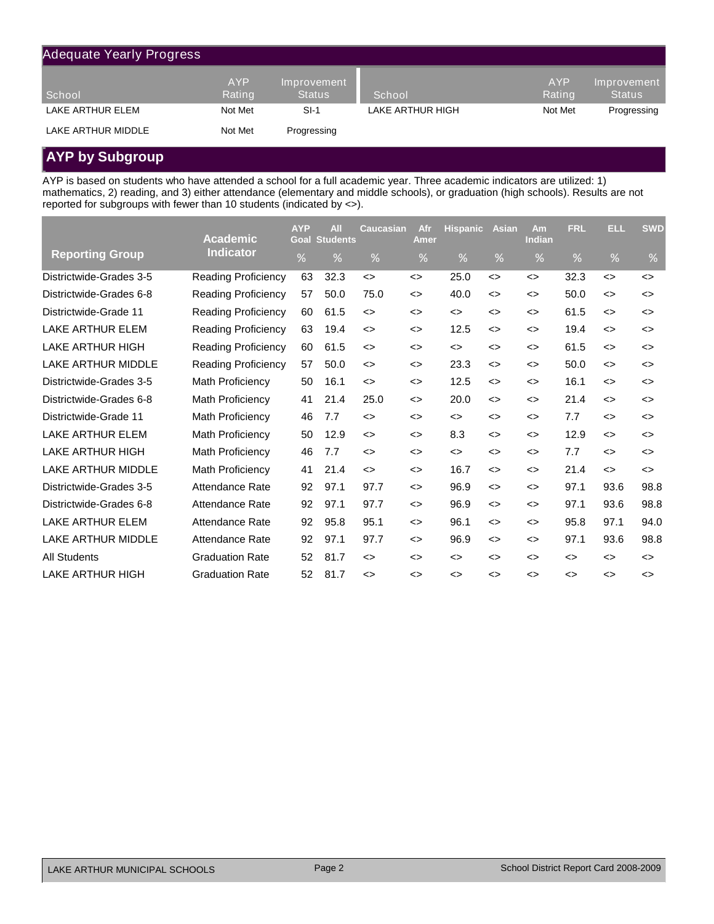| <b>Adequate Yearly Progress</b> |                      |                              |                  |                      |                              |
|---------------------------------|----------------------|------------------------------|------------------|----------------------|------------------------------|
| School                          | <b>AYP</b><br>Rating | Improvement<br><b>Status</b> | School           | <b>AYP</b><br>Rating | Improvement<br><b>Status</b> |
| LAKE ARTHUR ELEM                | Not Met              | $SI-1$                       | LAKE ARTHUR HIGH | Not Met              | Progressing                  |
| LAKE ARTHUR MIDDLE              | Not Met              | Progressing                  |                  |                      |                              |

# **AYP by Subgroup**

AYP is based on students who have attended a school for a full academic year. Three academic indicators are utilized: 1) mathematics, 2) reading, and 3) either attendance (elementary and middle schools), or graduation (high schools). Results are not reported for subgroups with fewer than 10 students (indicated by <>).

|                           | <b>Academic</b>            | <b>AYP</b><br>Goal | <b>All</b><br><b>Students</b> | Caucasian                    | Afr<br>Amer                  | <b>Hispanic</b>              | <b>Asian</b>                 | Am<br><b>Indian</b>          | <b>FRL</b>                   | ELL.              | <b>SWD</b>                   |
|---------------------------|----------------------------|--------------------|-------------------------------|------------------------------|------------------------------|------------------------------|------------------------------|------------------------------|------------------------------|-------------------|------------------------------|
| <b>Reporting Group</b>    | <b>Indicator</b>           | %                  | $\%$                          | $\frac{9}{6}$                | %                            | $\frac{9}{6}$                | $\%$                         | %                            | $\%$                         | %                 | %                            |
| Districtwide-Grades 3-5   | Reading Proficiency        | 63                 | 32.3                          | $\leftrightarrow$            | $\leftrightarrow$            | 25.0                         | $\leftrightarrow$            | $\leftrightarrow$            | 32.3                         | $\leftrightarrow$ | $\left\langle \right\rangle$ |
| Districtwide-Grades 6-8   | <b>Reading Proficiency</b> | 57                 | 50.0                          | 75.0                         | $\leftrightarrow$            | 40.0                         | $\leftrightarrow$            | $\leftrightarrow$            | 50.0                         | $\leftrightarrow$ | $\leftrightarrow$            |
| Districtwide-Grade 11     | <b>Reading Proficiency</b> | 60                 | 61.5                          | $\leftrightarrow$            | $\leftrightarrow$            | $\leftrightarrow$            | $\leftrightarrow$            | $\leftrightarrow$            | 61.5                         | $\leftrightarrow$ | $\left\langle \right\rangle$ |
| LAKE ARTHUR ELEM          | <b>Reading Proficiency</b> | 63                 | 19.4                          | $\left\langle \right\rangle$ | $\left\langle \right\rangle$ | 12.5                         | $\leftrightarrow$            | $\leftrightarrow$            | 19.4                         | $\leftrightarrow$ | $\dot{\mathbf{z}}$           |
| LAKE ARTHUR HIGH          | <b>Reading Proficiency</b> | 60                 | 61.5                          | $\leftrightarrow$            | $\left\langle \right\rangle$ | $\leftrightarrow$            | $\leftrightarrow$            | $\leftrightarrow$            | 61.5                         | $\leftrightarrow$ | $\dot{\mathbf{z}}$           |
| <b>LAKE ARTHUR MIDDLE</b> | <b>Reading Proficiency</b> | 57                 | 50.0                          | $\leftrightarrow$            | <>                           | 23.3                         | $\leftrightarrow$            | $\leftrightarrow$            | 50.0                         | $\leftrightarrow$ | $\dot{\mathbf{z}}$           |
| Districtwide-Grades 3-5   | Math Proficiency           | 50                 | 16.1                          | $\leftrightarrow$            | $\leftrightarrow$            | 12.5                         | $\leftrightarrow$            | $\leftrightarrow$            | 16.1                         | $\leftrightarrow$ | $\left\langle \right\rangle$ |
| Districtwide-Grades 6-8   | Math Proficiency           | 41                 | 21.4                          | 25.0                         | $\left\langle \right\rangle$ | 20.0                         | $\leftrightarrow$            | $\leftrightarrow$            | 21.4                         | $\leftrightarrow$ | $\left\langle \right\rangle$ |
| Districtwide-Grade 11     | Math Proficiency           | 46                 | 7.7                           | $\leftrightarrow$            | $\left\langle \right\rangle$ | $\leftrightarrow$            | $\leftrightarrow$            | <>                           | 7.7                          | $\leftrightarrow$ | $\dot{\mathbf{z}}$           |
| LAKE ARTHUR ELEM          | <b>Math Proficiency</b>    | 50                 | 12.9                          | $\leftrightarrow$            | $\left\langle \right\rangle$ | 8.3                          | $\leftrightarrow$            | $\leftrightarrow$            | 12.9                         | $\leftrightarrow$ | $\left\langle \right\rangle$ |
| <b>LAKE ARTHUR HIGH</b>   | <b>Math Proficiency</b>    | 46                 | 7.7                           | $\leftrightarrow$            | <>                           | $\dot{~}$                    | $\dot{~}$                    | $\leftrightarrow$            | 7.7                          | $\leftrightarrow$ | <>                           |
| <b>LAKE ARTHUR MIDDLE</b> | Math Proficiency           | 41                 | 21.4                          | $\leftrightarrow$            | $\leftrightarrow$            | 16.7                         | $\leftrightarrow$            | $\leftrightarrow$            | 21.4                         | $\leftrightarrow$ | $\left\langle \right\rangle$ |
| Districtwide-Grades 3-5   | Attendance Rate            | 92                 | 97.1                          | 97.7                         | $\leftrightarrow$            | 96.9                         | $\leftrightarrow$            | $\leftrightarrow$            | 97.1                         | 93.6              | 98.8                         |
| Districtwide-Grades 6-8   | Attendance Rate            | 92                 | 97.1                          | 97.7                         | $\leftrightarrow$            | 96.9                         | $\left\langle \right\rangle$ | $\left\langle \right\rangle$ | 97.1                         | 93.6              | 98.8                         |
| <b>LAKE ARTHUR ELEM</b>   | <b>Attendance Rate</b>     | 92                 | 95.8                          | 95.1                         | $\leftrightarrow$            | 96.1                         | $\left\langle \right\rangle$ | <>                           | 95.8                         | 97.1              | 94.0                         |
| <b>LAKE ARTHUR MIDDLE</b> | <b>Attendance Rate</b>     | 92                 | 97.1                          | 97.7                         | <>                           | 96.9                         | <>                           | <>                           | 97.1                         | 93.6              | 98.8                         |
| <b>All Students</b>       | <b>Graduation Rate</b>     | 52                 | 81.7                          | <>                           | $\left\langle \right\rangle$ | <>                           | $\left\langle \right\rangle$ | $\leftrightarrow$            | $\left\langle \right\rangle$ | <>                | ◇                            |
| LAKE ARTHUR HIGH          | <b>Graduation Rate</b>     | 52                 | 81.7                          | <>                           | $\left\langle \right\rangle$ | $\left\langle \right\rangle$ | $\leftrightarrow$            | $\leftrightarrow$            | $\left\langle \right\rangle$ | $\leftrightarrow$ | ◇                            |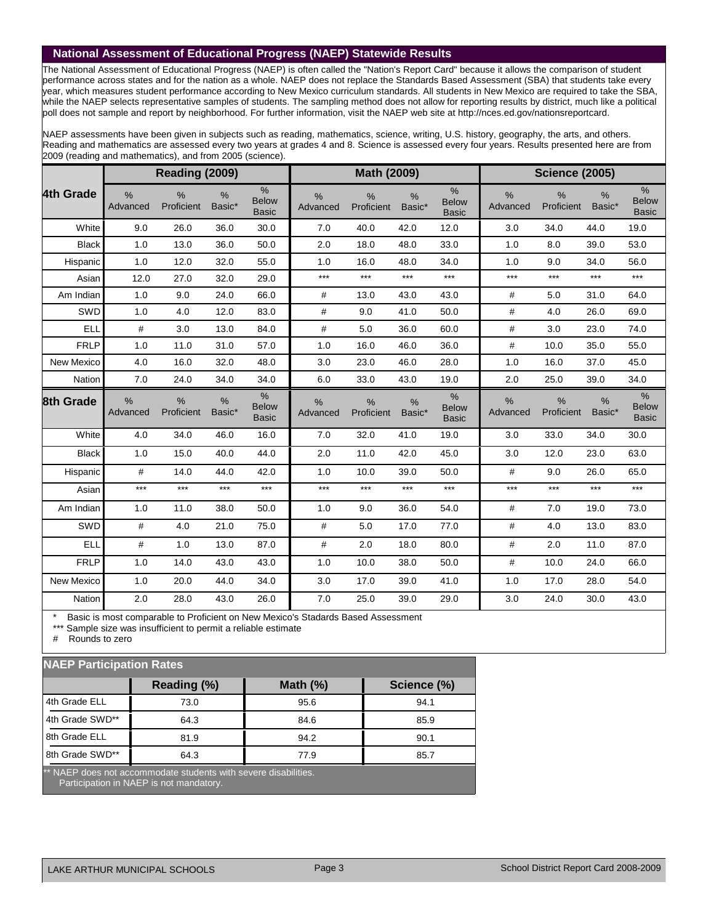### **National Assessment of Educational Progress (NAEP) Statewide Results**

The National Assessment of Educational Progress (NAEP) is often called the "Nation's Report Card" because it allows the comparison of student performance across states and for the nation as a whole. NAEP does not replace the Standards Based Assessment (SBA) that students take every year, which measures student performance according to New Mexico curriculum standards. All students in New Mexico are required to take the SBA, while the NAEP selects representative samples of students. The sampling method does not allow for reporting results by district, much like a political poll does not sample and report by neighborhood. For further information, visit the NAEP web site at http://nces.ed.gov/nationsreportcard.

NAEP assessments have been given in subjects such as reading, mathematics, science, writing, U.S. history, geography, the arts, and others. Reading and mathematics are assessed every two years at grades 4 and 8. Science is assessed every four years. Results presented here are from 2009 (reading and mathematics), and from 2005 (science).

|              |                           | Reading (2009)              |                |                                      |                           | Math (2009)        |                         |                                      |                  |                             | <b>Science (2005)</b><br>$\frac{9}{6}$<br>Basic* |                                               |  |  |  |  |  |
|--------------|---------------------------|-----------------------------|----------------|--------------------------------------|---------------------------|--------------------|-------------------------|--------------------------------------|------------------|-----------------------------|--------------------------------------------------|-----------------------------------------------|--|--|--|--|--|
| 4th Grade    | %<br>Advanced             | $\frac{0}{0}$<br>Proficient | $\%$<br>Basic* | $\%$<br><b>Below</b><br><b>Basic</b> | %<br>Advanced             | %<br>Proficient    | %<br>Basic*             | %<br><b>Below</b><br><b>Basic</b>    | $\%$<br>Advanced | $\frac{0}{0}$<br>Proficient |                                                  | $\frac{0}{0}$<br><b>Below</b><br><b>Basic</b> |  |  |  |  |  |
| White        | 9.0                       | 26.0                        | 36.0           | 30.0                                 | 7.0                       | 40.0               | 42.0                    | 12.0                                 | 3.0              | 34.0                        | 44.0                                             | 19.0                                          |  |  |  |  |  |
| <b>Black</b> | 1.0                       | 13.0                        | 36.0           | 50.0                                 | 2.0                       | 18.0               | 48.0                    | 33.0                                 | 1.0              | 8.0                         | 39.0                                             | 53.0                                          |  |  |  |  |  |
| Hispanic     | 1.0                       | 12.0                        | 32.0           | 55.0                                 | 1.0                       | 16.0               | 48.0                    | 34.0                                 | 1.0              | 9.0                         | 34.0                                             | 56.0                                          |  |  |  |  |  |
| Asian        | 12.0                      | 27.0                        | 32.0           | 29.0                                 | $***$                     | $***$              | $***$                   | $***$                                | ***              | $***$                       | $***$                                            | $***$                                         |  |  |  |  |  |
| Am Indian    | 1.0                       | 9.0                         | 24.0           | 66.0                                 | #                         | 13.0               | 43.0                    | 43.0                                 | $\#$             | 5.0                         | 31.0                                             | 64.0                                          |  |  |  |  |  |
| SWD          | 1.0                       | 4.0                         | 12.0           | 83.0                                 | #                         | 9.0                | 41.0                    | 50.0                                 | $\#$             | 4.0                         | 26.0                                             | 69.0                                          |  |  |  |  |  |
| <b>ELL</b>   | #                         | 3.0                         | 13.0           | 84.0                                 | #                         | 5.0                | 36.0                    | 60.0                                 | #                | 3.0                         | 23.0                                             | 74.0                                          |  |  |  |  |  |
| <b>FRLP</b>  | 1.0                       | 11.0                        | 31.0           | 57.0                                 | 1.0                       | 16.0               | 46.0                    | 36.0                                 | #                | 10.0                        | 35.0                                             | 55.0                                          |  |  |  |  |  |
| New Mexico   | 4.0                       | 16.0                        | 32.0           | 48.0                                 | 3.0                       | 23.0               | 46.0                    | 28.0                                 | 1.0              | 16.0                        | 37.0                                             | 45.0                                          |  |  |  |  |  |
| Nation       | 7.0                       | 24.0                        | 34.0           | 34.0                                 | 6.0                       | 33.0               | 43.0                    | 19.0                                 | 2.0              | 25.0                        | 39.0                                             | 34.0                                          |  |  |  |  |  |
| 8th Grade    | $\frac{0}{0}$<br>Advanced | $\frac{0}{0}$<br>Proficient | $\%$<br>Basic* | %<br><b>Below</b><br><b>Basic</b>    | $\frac{0}{0}$<br>Advanced | $\%$<br>Proficient | $\frac{0}{0}$<br>Basic* | $\%$<br><b>Below</b><br><b>Basic</b> | $\%$<br>Advanced | $\frac{0}{0}$<br>Proficient | $\frac{9}{6}$<br>Basic*                          | $\frac{0}{0}$<br><b>Below</b><br><b>Basic</b> |  |  |  |  |  |
| White        | 4.0                       | 34.0                        | 46.0           | 16.0                                 | 7.0                       | 32.0               | 41.0                    | 19.0                                 | 3.0              | 33.0                        | 34.0                                             | 30.0                                          |  |  |  |  |  |
| <b>Black</b> | 1.0                       | 15.0                        | 40.0           | 44.0                                 | 2.0                       | 11.0               | 42.0                    | 45.0                                 | 3.0              | 12.0                        | 23.0                                             | 63.0                                          |  |  |  |  |  |
| Hispanic     | #                         | 14.0                        | 44.0           | 42.0                                 | 1.0                       | 10.0               | 39.0                    | 50.0                                 | #                | 9.0                         | 26.0                                             | 65.0                                          |  |  |  |  |  |
| Asian        | $***$                     | $***$                       | $***$          | $***$                                | $***$                     | $***$              | $***$                   | $***$                                | ***              | $***$                       | $***$                                            | $***$                                         |  |  |  |  |  |
| Am Indian    | 1.0                       |                             |                |                                      |                           |                    |                         |                                      |                  |                             |                                                  |                                               |  |  |  |  |  |
|              |                           | 11.0                        | 38.0           | 50.0                                 | 1.0                       | 9.0                | 36.0                    | 54.0                                 | #                | 7.0                         | 19.0                                             | 73.0                                          |  |  |  |  |  |
| SWD          | #                         | 4.0                         | 21.0           | 75.0                                 | #                         | 5.0                | 17.0                    | 77.0                                 | #                | 4.0                         | 13.0                                             | 83.0                                          |  |  |  |  |  |
| <b>ELL</b>   | #                         | 1.0                         | 13.0           | 87.0                                 | #                         | 2.0                | 18.0                    | 80.0                                 | #                | 2.0                         | 11.0                                             | 87.0                                          |  |  |  |  |  |
| <b>FRLP</b>  | 1.0                       | 14.0                        | 43.0           | 43.0                                 | 1.0                       | 10.0               | 38.0                    | 50.0                                 | $\#$             | 10.0                        | 24.0                                             | 66.0                                          |  |  |  |  |  |
| New Mexico   | 1.0                       | 20.0                        | 44.0           | 34.0                                 | 3.0                       | 17.0               | 39.0                    | 41.0                                 | 1.0              | 17.0                        | 28.0                                             | 54.0                                          |  |  |  |  |  |

Basic is most comparable to Proficient on New Mexico's Stadards Based Assessment

\*\*\* Sample size was insufficient to permit a reliable estimate

# Rounds to zero

### **NAEP Participation Rates**

| الماليات والمالي المالي والمالي والمالي والمواليات المالي والمتوازن والمستحل الماليات                      |             |             |             |  |  |  |  |  |  |  |  |
|------------------------------------------------------------------------------------------------------------|-------------|-------------|-------------|--|--|--|--|--|--|--|--|
|                                                                                                            | Reading (%) | Math $(\%)$ | Science (%) |  |  |  |  |  |  |  |  |
| 4th Grade ELL                                                                                              | 73.0        | 95.6        | 94.1        |  |  |  |  |  |  |  |  |
| 4th Grade SWD**                                                                                            | 64.3        | 84.6        | 85.9        |  |  |  |  |  |  |  |  |
| 8th Grade ELL                                                                                              | 81.9        | 94.2        | 90.1        |  |  |  |  |  |  |  |  |
| 8th Grade SWD**                                                                                            | 64.3        | 77.9        | 85.7        |  |  |  |  |  |  |  |  |
| ** NAEP does not accommodate students with severe disabilities.<br>Participation in NAEP is not mandatory. |             |             |             |  |  |  |  |  |  |  |  |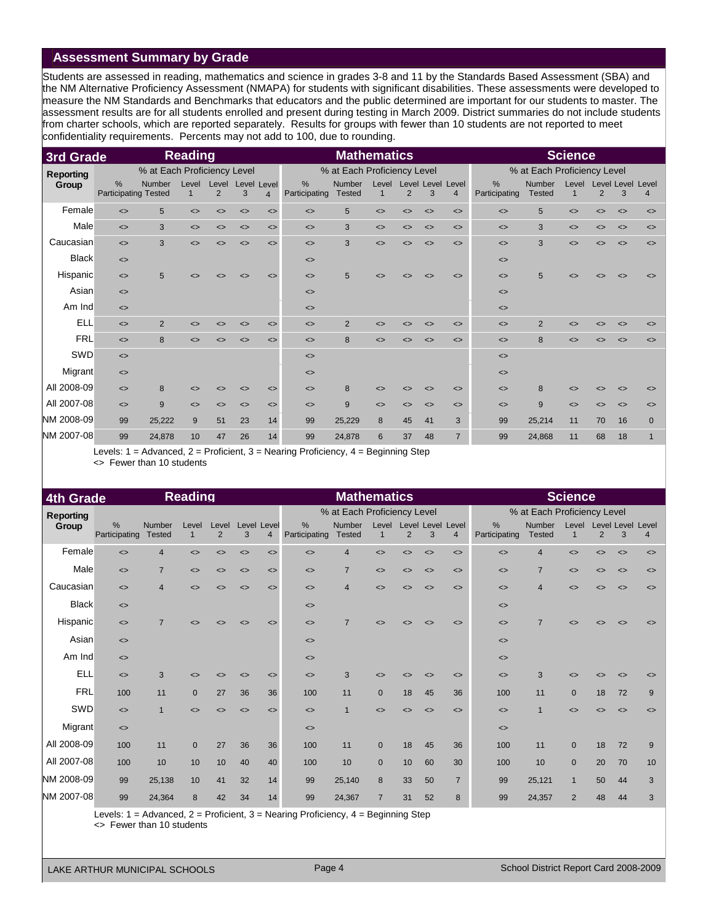# **Assessment Summary by Grade**

Students are assessed in reading, mathematics and science in grades 3-8 and 11 by the Standards Based Assessment (SBA) and the NM Alternative Proficiency Assessment (NMAPA) for students with significant disabilities. These assessments were developed to measure the NM Standards and Benchmarks that educators and the public determined are important for our students to master. The assessment results are for all students enrolled and present during testing in March 2009. District summaries do not include students from charter schools, which are reported separately. Results for groups with fewer than 10 students are not reported to meet confidentiality requirements. Percents may not add to 100, due to rounding.

| 3rd Grade        |                                              |                             | <b>Reading</b>    |                              |                              |                               | <b>Mathematics</b>           |                             |                              |                              |                   |                                     | <b>Science</b>               |                                |                              |                              |                        |                              |
|------------------|----------------------------------------------|-----------------------------|-------------------|------------------------------|------------------------------|-------------------------------|------------------------------|-----------------------------|------------------------------|------------------------------|-------------------|-------------------------------------|------------------------------|--------------------------------|------------------------------|------------------------------|------------------------|------------------------------|
| <b>Reporting</b> |                                              | % at Each Proficiency Level |                   |                              |                              |                               |                              | % at Each Proficiency Level |                              |                              |                   |                                     |                              | % at Each Proficiency Level    |                              |                              |                        |                              |
| Group            | $\frac{0}{0}$<br><b>Participating Tested</b> | Number                      | Level<br>1        | Level<br>2                   | 3                            | Level Level<br>$\overline{4}$ | $\%$<br>Participating        | Number<br><b>Tested</b>     | Level<br>1                   | 2                            | 3                 | Level Level Level<br>$\overline{4}$ | %<br>Participating           | <b>Number</b><br><b>Tested</b> | Level<br>$\mathbf{1}$        | 2                            | Level Level Level<br>3 | $\overline{4}$               |
| Female           | $\leq$                                       | 5                           | $\leftrightarrow$ | $\left\langle \right\rangle$ | $\left\langle \right\rangle$ | $\leftrightarrow$             | $\left\langle \right\rangle$ | 5                           | $\left\langle \right\rangle$ | $\leftrightarrow$            | $\leftrightarrow$ | $\leftrightarrow$                   | $\leftrightarrow$            | 5                              | $\left\langle \right\rangle$ | $\leftrightarrow$            | $\leftrightarrow$      | $\leftrightarrow$            |
| Male             | $\leq$                                       | 3                           | $\leftrightarrow$ | $\left\langle \right\rangle$ | $\left\langle \right\rangle$ | $\left\langle \right\rangle$  | $\left\langle \right\rangle$ | 3                           | $\leftrightarrow$            | $\left\langle \right\rangle$ | $\leftrightarrow$ | $\left\langle \right\rangle$        | $\left\langle \right\rangle$ | 3                              | $\left\langle \right\rangle$ | $\left\langle \right\rangle$ | $\Leftrightarrow$      | $\left\langle \right\rangle$ |
| Caucasian        | $\leq$                                       | 3                           | $\leftrightarrow$ | $\leftrightarrow$            | $\leftrightarrow$            | $\leftrightarrow$             | $\left\langle \right\rangle$ | 3                           | $\leftrightarrow$            | $\leftrightarrow$            | $\leftrightarrow$ | $\left\langle \right\rangle$        | $\left\langle \right\rangle$ | 3                              | $\leftrightarrow$            | $\leftrightarrow$            | $\leftrightarrow$      | $\left\langle \right\rangle$ |
| <b>Black</b>     | $\left\langle \right\rangle$                 |                             |                   |                              |                              |                               | $\left\langle \right\rangle$ |                             |                              |                              |                   |                                     | $\left\langle \right\rangle$ |                                |                              |                              |                        |                              |
| Hispanic         | $\leq$                                       | 5                           | $\leftrightarrow$ | <>                           | <>                           | $\leq$                        | $\left\langle \right\rangle$ | 5                           | $\left\langle \right\rangle$ | <>                           | $\leftrightarrow$ | $\leftrightarrow$                   | $\left\langle \right\rangle$ | 5                              | $\leftrightarrow$            |                              | ◇                      | $\left\langle \right\rangle$ |
| Asian            | $\leq$                                       |                             |                   |                              |                              |                               | $\left\langle \right\rangle$ |                             |                              |                              |                   |                                     | $\leftrightarrow$            |                                |                              |                              |                        |                              |
| Am Ind           | $\leq$                                       |                             |                   |                              |                              |                               | $\left\langle \right\rangle$ |                             |                              |                              |                   |                                     | $\left\langle \right\rangle$ |                                |                              |                              |                        |                              |
| <b>ELL</b>       | $\leq$                                       | $\overline{2}$              | <>                | <>                           | $\left\langle \right\rangle$ | $\left\langle \right\rangle$  | $\left\langle \right\rangle$ | 2                           | ◇                            | <>                           | $\leftrightarrow$ | $\left\langle \right\rangle$        | $\left\langle \right\rangle$ | $\overline{2}$                 | <>                           | <>                           | ◇                      | $\leq$                       |
| <b>FRL</b>       | $\leq$                                       | 8                           | $\leftrightarrow$ | $\leftrightarrow$            | $\leftrightarrow$            | $\leq$                        | $\left\langle \right\rangle$ | 8                           | $\leftrightarrow$            | $\leftrightarrow$            | $\leftrightarrow$ | $\leftrightarrow$                   | $\leftrightarrow$            | 8                              | $\leftrightarrow$            | <>                           | $\leftrightarrow$      | $\leftrightarrow$            |
| SWD              | $\leftrightarrow$                            |                             |                   |                              |                              |                               | $\left\langle \right\rangle$ |                             |                              |                              |                   |                                     | $\left\langle \right\rangle$ |                                |                              |                              |                        |                              |
| Migrant          | $\leftrightarrow$                            |                             |                   |                              |                              |                               | $\left\langle \right\rangle$ |                             |                              |                              |                   |                                     | $\left\langle \right\rangle$ |                                |                              |                              |                        |                              |
| All 2008-09      | $\leq$                                       | 8                           | $\leftrightarrow$ | <>                           | $\left\langle \right\rangle$ | $\left\langle \right\rangle$  | $\left\langle \right\rangle$ | 8                           | ◇                            | <>                           | $\leftrightarrow$ | $\left\langle \right\rangle$        | $\left\langle \right\rangle$ | 8                              | <>                           | <>                           | ◇                      | <>                           |
| All 2007-08      | $\left\langle \right\rangle$                 | 9                           | $\leftrightarrow$ | $\leftrightarrow$            | $\leftrightarrow$            | $\left\langle \right\rangle$  | $\left\langle \right\rangle$ | 9                           | $\leftrightarrow$            | $\leftrightarrow$            | $\leftrightarrow$ | $\left\langle \right\rangle$        | $\left\langle \right\rangle$ | 9                              | $\leftrightarrow$            | $\leftrightarrow$            | $\leftrightarrow$      | $\leftrightarrow$            |
| NM 2008-09       | 99                                           | 25,222                      | 9                 | 51                           | 23                           | 14                            | 99                           | 25,229                      | 8                            | 45                           | 41                | 3                                   | 99                           | 25,214                         | 11                           | 70                           | 16                     | $\mathbf{0}$                 |
| NM 2007-08       | 99                                           | 24,878                      | 10                | 47                           | 26                           | 14                            | 99                           | 24,878                      | 6                            | 37                           | 48                | $\overline{7}$                      | 99                           | 24,868                         | 11                           | 68                           | 18                     |                              |

Levels: 1 = Advanced, 2 = Proficient, 3 = Nearing Proficiency, 4 = Beginning Step <> Fewer than 10 students

| <b>4th Grade</b> |                              |                                | <b>Reading</b>               |                         |                              |                              | <b>Mathematics</b>                                                                    |                             |                   |                              |                              |                                     | <b>Science</b>               |                             |                              |                              |                              |                              |
|------------------|------------------------------|--------------------------------|------------------------------|-------------------------|------------------------------|------------------------------|---------------------------------------------------------------------------------------|-----------------------------|-------------------|------------------------------|------------------------------|-------------------------------------|------------------------------|-----------------------------|------------------------------|------------------------------|------------------------------|------------------------------|
| <b>Reporting</b> |                              |                                |                              |                         |                              |                              |                                                                                       | % at Each Proficiency Level |                   |                              |                              |                                     |                              | % at Each Proficiency Level |                              |                              |                              |                              |
| Group            | %<br>Participating           | <b>Number</b><br><b>Tested</b> | Level<br>$\overline{1}$      | Level<br>$\overline{2}$ | Level Level<br>3             | $\overline{4}$               | %<br>Participating                                                                    | Number<br><b>Tested</b>     | Level             | 2                            | 3                            | Level Level Level<br>$\overline{4}$ | %<br>Participating           | Number<br><b>Tested</b>     | Level<br>$\overline{1}$      | $\overline{2}$               | Level Level Level<br>3       | 4                            |
| Female           | $\leftrightarrow$            | $\overline{4}$                 | $\leftrightarrow$            | $\leftrightarrow$       | $\left\langle \right\rangle$ | $\leftrightarrow$            | $\leftrightarrow$                                                                     | 4                           | $\leftrightarrow$ | $\left\langle \right\rangle$ | $\leftrightarrow$            | $\left\langle \right\rangle$        | $\leftrightarrow$            | 4                           | $\left\langle \right\rangle$ | $\left\langle \right\rangle$ | $\leftrightarrow$            | $\left\langle \right\rangle$ |
| Male             | $\leq$                       | $\overline{7}$                 | $\left\langle \right\rangle$ | <>                      | $\left\langle \right\rangle$ | $\left\langle \right\rangle$ | $\left\langle \right\rangle$                                                          | $\overline{7}$              | $\leftrightarrow$ | $\left\langle \right\rangle$ | $\left\langle \right\rangle$ | $\left\langle \right\rangle$        | $\left\langle \right\rangle$ | $\overline{7}$              | $\left\langle \right\rangle$ | $\left\langle \right\rangle$ | $\left\langle \right\rangle$ | $\left\langle \right\rangle$ |
| Caucasian        | $\leftrightarrow$            | $\overline{4}$                 | $\left\langle \right\rangle$ | <>                      | <>                           | $\leq$                       | $\leftrightarrow$                                                                     | $\overline{4}$              | $\leftrightarrow$ | <>                           | $\leftrightarrow$            | $\left\langle \right\rangle$        | $\left\langle \right\rangle$ | $\overline{4}$              | $\leftrightarrow$            | <>                           | ◇                            | $\left\langle \right\rangle$ |
| <b>Black</b>     | $\left\langle \right\rangle$ |                                |                              |                         |                              |                              | $\leftrightarrow$                                                                     |                             |                   |                              |                              |                                     | $\left\langle \right\rangle$ |                             |                              |                              |                              |                              |
| Hispanic         | $\leftrightarrow$            | $\overline{7}$                 | ◇                            |                         | <>                           | $\leftrightarrow$            | $\leftrightarrow$                                                                     | $\overline{7}$              | ◇                 |                              | $\leftrightarrow$            | $\leftrightarrow$                   | $\leftrightarrow$            | $\overline{7}$              | <>                           |                              |                              | <>                           |
| Asian            | $\left\langle \right\rangle$ |                                |                              |                         |                              |                              | $\left\langle \right\rangle$                                                          |                             |                   |                              |                              |                                     | $\left\langle \right\rangle$ |                             |                              |                              |                              |                              |
| Am Ind           | $\leftrightarrow$            |                                |                              |                         |                              |                              | $\leftrightarrow$                                                                     |                             |                   |                              |                              |                                     | $\left\langle \right\rangle$ |                             |                              |                              |                              |                              |
| <b>ELL</b>       | $\left\langle \right\rangle$ | 3                              | ◇                            |                         | $\left\langle \right\rangle$ | $\left\langle \right\rangle$ | $\leftrightarrow$                                                                     | 3                           | <>                |                              | $\left\langle \right\rangle$ | $\left\langle \right\rangle$        | $\left\langle \right\rangle$ | 3                           |                              |                              | ◇                            | <>                           |
| <b>FRL</b>       | 100                          | 11                             | $\mathbf{0}$                 | 27                      | 36                           | 36                           | 100                                                                                   | 11                          | $\Omega$          | 18                           | 45                           | 36                                  | 100                          | 11                          | $\mathbf{0}$                 | 18                           | 72                           | 9                            |
| SWD              | $\leftrightarrow$            | $\overline{1}$                 | $\leftrightarrow$            | $\leftrightarrow$       | $\left\langle \right\rangle$ | $\leq$                       | $\leftrightarrow$                                                                     | 4                           | $\leftrightarrow$ | <>                           | $\leftrightarrow$            | $\left\langle \right\rangle$        | $\leftrightarrow$            | $\mathbf 1$                 | $\leftrightarrow$            | <>                           | $\left\langle \right\rangle$ | $\leftrightarrow$            |
| Migrant          | $\left\langle \right\rangle$ |                                |                              |                         |                              |                              | $\left\langle \right\rangle$                                                          |                             |                   |                              |                              |                                     | $\left\langle \right\rangle$ |                             |                              |                              |                              |                              |
| All 2008-09      | 100                          | 11                             | $\mathbf{0}$                 | 27                      | 36                           | 36                           | 100                                                                                   | 11                          | $\overline{0}$    | 18                           | 45                           | 36                                  | 100                          | 11                          | $\mathbf{0}$                 | 18                           | 72                           | 9                            |
| All 2007-08      | 100                          | 10                             | 10                           | 10                      | 40                           | 40                           | 100                                                                                   | 10                          | $\Omega$          | 10                           | 60                           | 30                                  | 100                          | 10                          | $\mathbf{0}$                 | 20                           | 70                           | 10                           |
| NM 2008-09       | 99                           | 25,138                         | 10                           | 41                      | 32                           | 14                           | 99                                                                                    | 25,140                      | 8                 | 33                           | 50                           | $\overline{7}$                      | 99                           | 25,121                      | $\mathbf{1}$                 | 50                           | 44                           | 3                            |
| NM 2007-08       | 99                           | 24,364                         | 8                            | 42                      | 34                           | 14                           | 99                                                                                    | 24,367                      | $\overline{7}$    | 31                           | 52                           | 8                                   | 99                           | 24,357                      | $\overline{2}$               | 48                           | 44                           | 3                            |
|                  |                              |                                |                              |                         |                              |                              | evels: $1 =$ Advanced $2 =$ Proficient $3 =$ Nearing Proficiency $4 =$ Beginning Step |                             |                   |                              |                              |                                     |                              |                             |                              |                              |                              |                              |

Levels: 1 = Advanced, 2 = Proficient, 3 = Nearing Proficiency, 4 = Beginning Step

<> Fewer than 10 students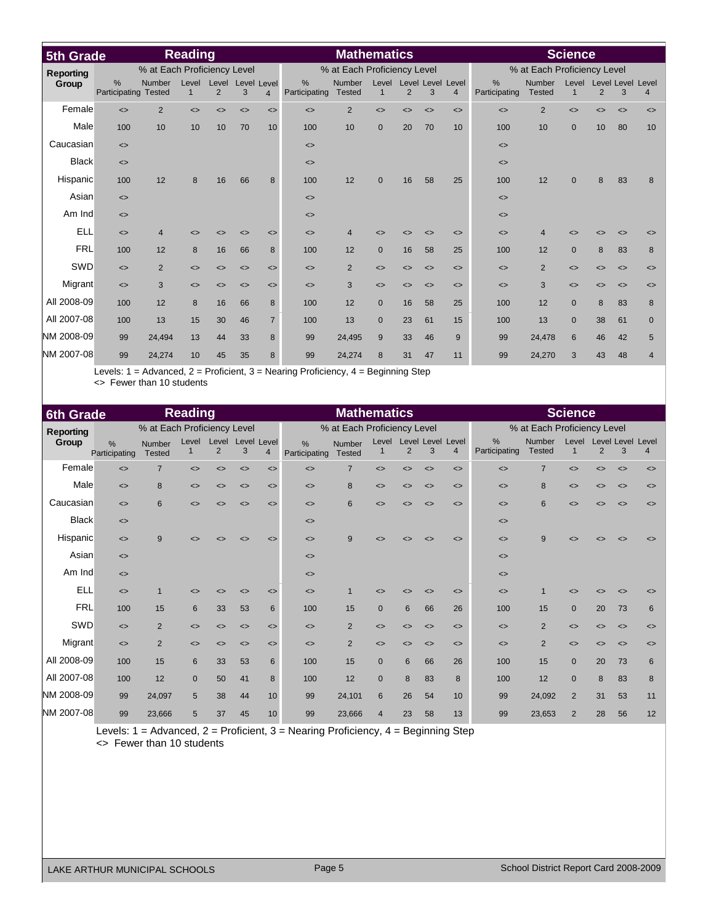| 5th Grade        |                              |                             | <b>Reading</b>               |                              |                              | <b>Mathematics</b>           |                              |                             |                       |                              |                              |                                     | <b>Science</b>               |                                |                              |                              |                               |                              |
|------------------|------------------------------|-----------------------------|------------------------------|------------------------------|------------------------------|------------------------------|------------------------------|-----------------------------|-----------------------|------------------------------|------------------------------|-------------------------------------|------------------------------|--------------------------------|------------------------------|------------------------------|-------------------------------|------------------------------|
| <b>Reporting</b> |                              | % at Each Proficiency Level |                              |                              |                              |                              |                              | % at Each Proficiency Level |                       |                              |                              |                                     |                              | % at Each Proficiency Level    |                              |                              |                               |                              |
| Group            | %<br>Participating           | Number<br><b>Tested</b>     | Level<br>$\mathbf{1}$        | Level<br>2                   | Level Level<br>3             | $\overline{4}$               | %<br>Participating           | Number<br><b>Tested</b>     | Level<br>$\mathbf{1}$ | 2                            | 3                            | Level Level Level<br>$\overline{4}$ | %<br>Participating           | <b>Number</b><br><b>Tested</b> | Level<br>$\mathbf{1}$        | 2                            | <b>Level Level Level</b><br>3 | $\overline{4}$               |
| Female           | $\leftrightarrow$            | 2                           | $\leftrightarrow$            | $\leftrightarrow$            | $\left\langle \right\rangle$ | $\left\langle \right\rangle$ | $\left\langle \right\rangle$ | 2                           | $\leftrightarrow$     | $\left\langle \right\rangle$ | $\left\langle \right\rangle$ | $\left\langle \right\rangle$        | $\leftrightarrow$            | $\overline{2}$                 | $\left\langle \right\rangle$ | $\leftrightarrow$            | $\left\langle \right\rangle$  | $\left\langle \right\rangle$ |
| Male             | 100                          | 10                          | 10                           | 10                           | 70                           | 10                           | 100                          | 10                          | $\mathbf{0}$          | 20                           | 70                           | 10                                  | 100                          | 10                             | $\mathbf 0$                  | 10                           | 80                            | 10                           |
| Caucasian        | $\leftrightarrow$            |                             |                              |                              |                              |                              | $\left\langle \right\rangle$ |                             |                       |                              |                              |                                     | $\left\langle \right\rangle$ |                                |                              |                              |                               |                              |
| <b>Black</b>     | $\left\langle \right\rangle$ |                             |                              |                              |                              |                              | $\left\langle \right\rangle$ |                             |                       |                              |                              |                                     | $\left\langle \right\rangle$ |                                |                              |                              |                               |                              |
| Hispanic         | 100                          | 12                          | 8                            | 16                           | 66                           | 8                            | 100                          | 12                          | $\mathbf{0}$          | 16                           | 58                           | 25                                  | 100                          | 12                             | $\mathbf{0}$                 | 8                            | 83                            | 8                            |
| Asian            | $\left\langle \right\rangle$ |                             |                              |                              |                              |                              | $\left\langle \right\rangle$ |                             |                       |                              |                              |                                     | $\leftrightarrow$            |                                |                              |                              |                               |                              |
| Am Ind           | $\leq$                       |                             |                              |                              |                              |                              | $\left\langle \right\rangle$ |                             |                       |                              |                              |                                     | $\left\langle \right\rangle$ |                                |                              |                              |                               |                              |
| <b>ELL</b>       | $\left\langle \right\rangle$ | $\overline{4}$              | ◇                            | <>                           | <>                           | $\left\langle \right\rangle$ | $\left\langle \right\rangle$ | Δ                           | ◇                     | <>                           | $\left\langle \right\rangle$ | $\left\langle \right\rangle$        | $\left\langle \right\rangle$ | $\overline{4}$                 | <>                           | <>                           | $\left\langle \right\rangle$  | <>                           |
| <b>FRL</b>       | 100                          | 12                          | 8                            | 16                           | 66                           | 8                            | 100                          | 12                          | $\mathbf{0}$          | 16                           | 58                           | 25                                  | 100                          | 12                             | $\mathbf{0}$                 | 8                            | 83                            | 8                            |
| SWD              | $\leq$                       | $\overline{2}$              | $\left\langle \right\rangle$ | $\left\langle \right\rangle$ | $\leftrightarrow$            | $\left\langle \right\rangle$ | $\left\langle \right\rangle$ | $\overline{2}$              | $\leftrightarrow$     | $\left\langle \right\rangle$ | $\leftrightarrow$            | $\left\langle \right\rangle$        | $\left\langle \right\rangle$ | $\overline{2}$                 | $\left\langle \right\rangle$ | $\left\langle \right\rangle$ | $\leftrightarrow$             | $\left\langle \right\rangle$ |
| Migrant          | $\left\langle \right\rangle$ | 3                           | $\left\langle \right\rangle$ | $\left\langle \right\rangle$ | $\leftrightarrow$            | $\left\langle \right\rangle$ | $\left\langle \right\rangle$ | 3                           | $\leftrightarrow$     | $\left\langle \right\rangle$ | $\leftrightarrow$            | $\left\langle \right\rangle$        | $\left\langle \right\rangle$ | 3                              | $\left\langle \right\rangle$ | $\leftrightarrow$            | $\leftrightarrow$             | $\left\langle \right\rangle$ |
| All 2008-09      | 100                          | 12                          | 8                            | 16                           | 66                           | 8                            | 100                          | 12                          | $\mathbf{0}$          | 16                           | 58                           | 25                                  | 100                          | 12                             | $\mathbf{0}$                 | 8                            | 83                            | 8                            |
| All 2007-08      | 100                          | 13                          | 15                           | 30                           | 46                           | $\overline{7}$               | 100                          | 13                          | $\Omega$              | 23                           | 61                           | 15                                  | 100                          | 13                             | $\mathbf{0}$                 | 38                           | 61                            | $\mathbf 0$                  |
| NM 2008-09       | 99                           | 24,494                      | 13                           | 44                           | 33                           | 8                            | 99                           | 24,495                      | 9                     | 33                           | 46                           | 9                                   | 99                           | 24,478                         | 6                            | 46                           | 42                            | 5                            |
| NM 2007-08       | 99                           | 24,274                      | 10                           | 45                           | 35                           | 8                            | 99                           | 24,274                      | 8                     | 31                           | 47                           | 11                                  | 99                           | 24,270                         | 3                            | 43                           | 48                            | $\overline{4}$               |

Levels: 1 = Advanced, 2 = Proficient, 3 = Nearing Proficiency, 4 = Beginning Step <> Fewer than 10 students

| 6th Grade        |                              |                             | <b>Reading</b>               |                              |                              |                              |                              | <b>Mathematics</b>          |                   | <b>Science</b>               |                              |                                     |                              |                             |                              |                              |                              |                              |
|------------------|------------------------------|-----------------------------|------------------------------|------------------------------|------------------------------|------------------------------|------------------------------|-----------------------------|-------------------|------------------------------|------------------------------|-------------------------------------|------------------------------|-----------------------------|------------------------------|------------------------------|------------------------------|------------------------------|
| <b>Reporting</b> |                              | % at Each Proficiency Level |                              |                              |                              |                              |                              | % at Each Proficiency Level |                   |                              |                              |                                     |                              | % at Each Proficiency Level |                              |                              |                              |                              |
| Group            | %<br>Participating           | Number<br><b>Tested</b>     | Level                        | Level<br>$\overline{2}$      | Level Level<br>3             | $\overline{4}$               | %<br>Participating           | Number<br><b>Tested</b>     | Level             | $\overline{2}$               | 3                            | Level Level Level<br>$\overline{4}$ | %<br>Participating           | Number<br><b>Tested</b>     | 1                            | $\overline{2}$               | Level Level Level Level<br>3 | $\overline{4}$               |
| Female           | $\leftrightarrow$            | $\overline{7}$              | $\leftrightarrow$            | $\left\langle \right\rangle$ | $\leftrightarrow$            | $\left\langle \right\rangle$ | $\left\langle \right\rangle$ | $\overline{7}$              | $\leftrightarrow$ | $\left\langle \right\rangle$ | $\leftrightarrow$            | $\left\langle \right\rangle$        | $\left\langle \right\rangle$ | $\overline{7}$              | $\left\langle \right\rangle$ | $\left\langle \right\rangle$ | $\leftrightarrow$            | $\left\langle \right\rangle$ |
| Male             | $\left\langle \right\rangle$ | 8                           | $\leftrightarrow$            | $\left\langle \right\rangle$ | $\left\langle \right\rangle$ | $\left\langle \right\rangle$ | $\left\langle \right\rangle$ | 8                           | $\leftrightarrow$ | $\left\langle \right\rangle$ | $\left\langle \right\rangle$ | $\left\langle \right\rangle$        | $\left\langle \right\rangle$ | 8                           | $\left\langle \right\rangle$ | $\left\langle \right\rangle$ | $\leftrightarrow$            | $\left\langle \right\rangle$ |
| Caucasian        | $\left\langle \right\rangle$ | 6                           | $\leftrightarrow$            | <>                           | $\leftrightarrow$            | $\left\langle \right\rangle$ | $\left\langle \right\rangle$ | $6\phantom{1}$              | $\leftrightarrow$ | $\leftrightarrow$            | $\left\langle \right\rangle$ | $\left\langle \right\rangle$        | $\left\langle \right\rangle$ | 6                           | $\leftrightarrow$            | <>                           | $\left\langle \right\rangle$ | $\leftrightarrow$            |
| <b>Black</b>     | $\left\langle \right\rangle$ |                             |                              |                              |                              |                              | $\left\langle \right\rangle$ |                             |                   |                              |                              |                                     | $\left\langle \right\rangle$ |                             |                              |                              |                              |                              |
| Hispanic         | $\left\langle \right\rangle$ | 9                           | ◇                            |                              | <>                           | <>                           | $\left\langle \right\rangle$ | 9                           | ◇                 |                              | ◇                            | $\leftrightarrow$                   | $\left\langle \right\rangle$ | 9                           |                              |                              | ◇                            | <>                           |
| Asian            | $\left\langle \right\rangle$ |                             |                              |                              |                              |                              | $\left\langle \right\rangle$ |                             |                   |                              |                              |                                     | $\left\langle \right\rangle$ |                             |                              |                              |                              |                              |
| Am Ind           | $\left\langle \right\rangle$ |                             |                              |                              |                              |                              | $\left\langle \right\rangle$ |                             |                   |                              |                              |                                     | $\left\langle \right\rangle$ |                             |                              |                              |                              |                              |
| <b>ELL</b>       | $\left\langle \right\rangle$ |                             | $\left\langle \right\rangle$ | <>                           | <>                           | $\left\langle \right\rangle$ | $\left\langle \right\rangle$ |                             | ◇                 | <>                           | $\left\langle \right\rangle$ | $\left\langle \right\rangle$        | $\left\langle \right\rangle$ | 1                           | <>                           | <>                           | $\leftrightarrow$            | $\left\langle \right\rangle$ |
| <b>FRL</b>       | 100                          | 15                          | 6                            | 33                           | 53                           | 6                            | 100                          | 15                          | $\mathbf{0}$      | 6                            | 66                           | 26                                  | 100                          | 15                          | $\mathbf{0}$                 | 20                           | 73                           | 6                            |
| SWD              | $\leftrightarrow$            | 2                           | $\leftrightarrow$            | <>                           | $\left\langle \right\rangle$ | $\leftrightarrow$            | $\leftrightarrow$            | $\overline{2}$              | $\leftrightarrow$ | <>                           | $\leftrightarrow$            | $\left\langle \right\rangle$        | $\leftrightarrow$            | $\overline{2}$              | $\leftrightarrow$            | $\leftrightarrow$            | $\leftrightarrow$            | $\leftrightarrow$            |
| Migrant          | $\leftrightarrow$            | $\overline{2}$              | $\left\langle \right\rangle$ | $\leftrightarrow$            | $\leftrightarrow$            | $\left\langle \right\rangle$ | $\left\langle \right\rangle$ | 2                           | $\leftrightarrow$ | <>                           | $\leftrightarrow$            | $\left\langle \right\rangle$        | $\left\langle \right\rangle$ | $\overline{2}$              | $\leftrightarrow$            | $\leftrightarrow$            | $\leftrightarrow$            | $\leftrightarrow$            |
| All 2008-09      | 100                          | 15                          | 6                            | 33                           | 53                           | 6                            | 100                          | 15                          | $\Omega$          | 6                            | 66                           | 26                                  | 100                          | 15                          | $\mathbf{0}$                 | 20                           | 73                           | 6                            |
| All 2007-08      | 100                          | 12                          | $\mathbf 0$                  | 50                           | 41                           | 8                            | 100                          | 12                          | $\mathbf{0}$      | 8                            | 83                           | 8                                   | 100                          | 12                          | $\overline{0}$               | 8                            | 83                           | 8                            |
| NM 2008-09       | 99                           | 24,097                      | 5                            | 38                           | 44                           | 10                           | 99                           | 24,101                      | 6                 | 26                           | 54                           | 10                                  | 99                           | 24,092                      | $\overline{2}$               | 31                           | 53                           | 11                           |
| NM 2007-08       | 99                           | 23,666                      | 5                            | 37                           | 45                           | 10 <sup>1</sup>              | 99                           | 23,666                      | $\overline{4}$    | 23                           | 58                           | 13                                  | 99                           | 23,653                      | $\overline{2}$               | 28                           | 56                           | 12                           |

Levels: 1 = Advanced, 2 = Proficient, 3 = Nearing Proficiency, 4 = Beginning Step <> Fewer than 10 students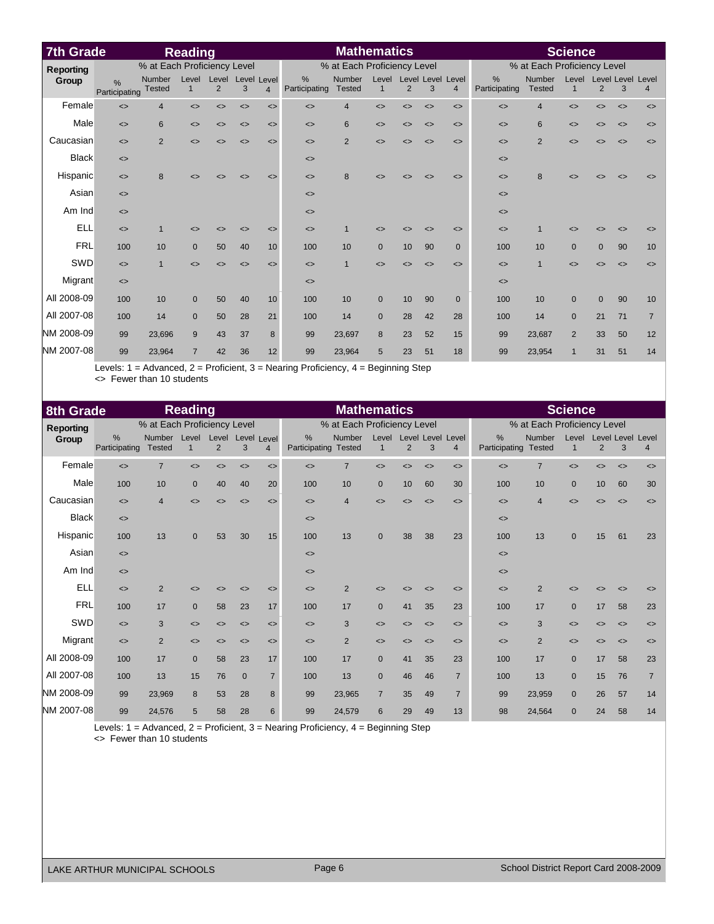| <b>7th Grade</b> |                                |                             | <b>Reading</b>    |                              |                              |                              |                              | <b>Mathematics</b>          |                   |                   |                              |                              | <b>Science</b>               |                             |                              |                              |                        |                              |
|------------------|--------------------------------|-----------------------------|-------------------|------------------------------|------------------------------|------------------------------|------------------------------|-----------------------------|-------------------|-------------------|------------------------------|------------------------------|------------------------------|-----------------------------|------------------------------|------------------------------|------------------------|------------------------------|
| <b>Reporting</b> |                                | % at Each Proficiency Level |                   |                              |                              |                              |                              | % at Each Proficiency Level |                   |                   |                              |                              |                              | % at Each Proficiency Level |                              |                              |                        |                              |
| Group            | $\frac{9}{6}$<br>Participating | Number<br><b>Tested</b>     | Level<br>1        | Level<br>2                   | Level Level<br>3             | $\overline{4}$               | %<br>Participating           | Number<br><b>Tested</b>     | Level<br>1        | 2                 | 3                            | Level Level Level<br>4       | %<br>Participating           | Number<br><b>Tested</b>     | Level<br>$\mathbf{1}$        | $\overline{2}$               | Level Level Level<br>3 | $\overline{4}$               |
| Female           | $\leftrightarrow$              | $\overline{4}$              | $\leftrightarrow$ | $\left\langle \right\rangle$ | $\left\langle \right\rangle$ | $\left\langle \right\rangle$ | $\left\langle \right\rangle$ | $\overline{4}$              | $\leftrightarrow$ | $\leftrightarrow$ | $\leftrightarrow$            | $\left\langle \right\rangle$ | $\leftrightarrow$            | $\overline{4}$              | $\leftrightarrow$            | $\left\langle \right\rangle$ | $\leftrightarrow$      | $\left\langle \right\rangle$ |
| Male             | $\leftrightarrow$              | 6                           | $\leftrightarrow$ | $\left\langle \right\rangle$ | $\left\langle \right\rangle$ | $\left\langle \right\rangle$ | $\left\langle \right\rangle$ | 6                           | $\leftrightarrow$ | $\leftrightarrow$ | $\leftrightarrow$            | $\left\langle \right\rangle$ | $\left\langle \right\rangle$ | 6                           | $\left\langle \right\rangle$ | $\left\langle \right\rangle$ | $\leftrightarrow$      | $\leftrightarrow$            |
| Caucasian        | $\leftrightarrow$              | $\overline{2}$              | $\leftrightarrow$ | <>                           | $\leftrightarrow$            | $\left\langle \right\rangle$ | $\left\langle \right\rangle$ | $\overline{2}$              | $\leftrightarrow$ | $\leftrightarrow$ | $\leftrightarrow$            | $\left\langle \right\rangle$ | $\left\langle \right\rangle$ | $\overline{2}$              | $\leftrightarrow$            | <>                           | $\leftrightarrow$      | $\leftrightarrow$            |
| <b>Black</b>     | $\leftrightarrow$              |                             |                   |                              |                              |                              | $\left\langle \right\rangle$ |                             |                   |                   |                              |                              | $\leftrightarrow$            |                             |                              |                              |                        |                              |
| Hispanic         | $\left\langle \right\rangle$   | 8                           | $\leftrightarrow$ |                              | <>                           | $\leftrightarrow$            | $\leftrightarrow$            | 8                           | ◇                 | <>                | ◇                            | $\leftrightarrow$            | $\left\langle \right\rangle$ | 8                           |                              |                              |                        |                              |
| Asian            | $\left\langle \right\rangle$   |                             |                   |                              |                              |                              | $\left\langle \right\rangle$ |                             |                   |                   |                              |                              | $\left\langle \right\rangle$ |                             |                              |                              |                        |                              |
| Am Ind           | $\leftrightarrow$              |                             |                   |                              |                              |                              | $\left\langle \right\rangle$ |                             |                   |                   |                              |                              | $\left\langle \right\rangle$ |                             |                              |                              |                        |                              |
| <b>ELL</b>       | $\left\langle \right\rangle$   | 1                           | ◇                 | <>                           | <>                           | $\left\langle \right\rangle$ | $\left\langle \right\rangle$ |                             | ◇                 | <>                | <>                           | $\left\langle \right\rangle$ | $\left\langle \right\rangle$ | 1                           | <>                           | <>                           | ◇                      | <>                           |
| <b>FRL</b>       | 100                            | 10                          | $\mathbf{0}$      | 50                           | 40                           | 10 <sup>1</sup>              | 100                          | 10                          | $\overline{0}$    | 10                | 90                           | $\Omega$                     | 100                          | 10                          | $\mathbf 0$                  | $\overline{0}$               | 90                     | 10                           |
| SWD              | $\left\langle \right\rangle$   | $\overline{1}$              | $\leftrightarrow$ | $\left\langle \right\rangle$ | $\left\langle \right\rangle$ | $\leq$                       | $\left\langle \right\rangle$ | $\overline{1}$              | $\leftrightarrow$ | $\leftrightarrow$ | $\left\langle \right\rangle$ | $\left\langle \right\rangle$ | $\left\langle \right\rangle$ | $\overline{1}$              | $\leftrightarrow$            | $\left\langle \right\rangle$ | $\leftrightarrow$      | $\left\langle \right\rangle$ |
| Migrant          | $\leftrightarrow$              |                             |                   |                              |                              |                              | $\left\langle \right\rangle$ |                             |                   |                   |                              |                              | $\leq$                       |                             |                              |                              |                        |                              |
| All 2008-09      | 100                            | 10                          | $\mathbf{0}$      | 50                           | 40                           | 10                           | 100                          | 10                          | $\overline{0}$    | 10                | 90                           | $\mathbf{0}$                 | 100                          | 10                          | $\mathbf{0}$                 | $\overline{0}$               | 90                     | 10                           |
| All 2007-08      | 100                            | 14                          | $\Omega$          | 50                           | 28                           | 21                           | 100                          | 14                          | $\Omega$          | 28                | 42                           | 28                           | 100                          | 14                          | $\mathbf{0}$                 | 21                           | 71                     | $\overline{7}$               |
| NM 2008-09       | 99                             | 23,696                      | 9                 | 43                           | 37                           | 8                            | 99                           | 23,697                      | 8                 | 23                | 52                           | 15                           | 99                           | 23,687                      | $\overline{2}$               | 33                           | 50                     | 12                           |
| NM 2007-08       | 99                             | 23,964                      | $\overline{7}$    | 42                           | 36                           | 12 <sup>°</sup>              | 99                           | 23,964                      | 5                 | 23                | 51                           | 18                           | 99                           | 23,954                      | $\overline{1}$               | 31                           | 51                     | 14                           |

Levels: 1 = Advanced, 2 = Proficient, 3 = Nearing Proficiency, 4 = Beginning Step <> Fewer than 10 students

| <b>Reading</b><br><b>8th Grade</b> |                              |                                |                   |                         |                              | <b>Mathematics</b>           |                              |                         |                   |                   |                              | <b>Science</b>               |                                |                         |                      |                              |                               |                              |
|------------------------------------|------------------------------|--------------------------------|-------------------|-------------------------|------------------------------|------------------------------|------------------------------|-------------------------|-------------------|-------------------|------------------------------|------------------------------|--------------------------------|-------------------------|----------------------|------------------------------|-------------------------------|------------------------------|
| <b>Reporting</b>                   | % at Each Proficiency Level  |                                |                   |                         |                              | % at Each Proficiency Level  |                              |                         |                   |                   |                              | % at Each Proficiency Level  |                                |                         |                      |                              |                               |                              |
| Group                              | %<br>Participating           | <b>Number</b><br><b>Tested</b> | Level<br>1        | Level<br>$\overline{2}$ | Level Level<br>3             | $\overline{4}$               | $\%$<br>Participating        | Number<br><b>Tested</b> | $\mathbf{1}$      | 2                 | 3                            | Level Level Level Level<br>4 | $\frac{0}{0}$<br>Participating | Number<br><b>Tested</b> | Level<br>$\mathbf 1$ | 2                            | <b>Level Level Level</b><br>3 | 4                            |
| Female                             | $\leftrightarrow$            | $\overline{7}$                 | $\leftrightarrow$ | $\leftrightarrow$       | $\left\langle \right\rangle$ | $\leftrightarrow$            | $\leftrightarrow$            | $\overline{7}$          | $\leftrightarrow$ | $\leftrightarrow$ | $\leftrightarrow$            | $\left\langle \right\rangle$ | $\left\langle \right\rangle$   | $\overline{7}$          | $\leftrightarrow$    | $\left\langle \right\rangle$ | $\leftrightarrow$             | $\left\langle \right\rangle$ |
| Male                               | 100                          | 10                             | $\mathbf{0}$      | 40                      | 40                           | 20                           | 100                          | 10                      | $\mathbf{0}$      | 10                | 60                           | 30                           | 100                            | 10                      | $\mathbf{0}$         | 10                           | 60                            | 30                           |
| Caucasian                          | $\leftrightarrow$            | $\overline{4}$                 | $\leftrightarrow$ | $\leftrightarrow$       | $\left\langle \right\rangle$ | $\leftrightarrow$            | $\leftrightarrow$            | $\overline{4}$          | $\leftrightarrow$ | $\leftrightarrow$ | $\leftrightarrow$            | $\left\langle \right\rangle$ | $\left\langle \right\rangle$   | 4                       | $\leftrightarrow$    | $\left\langle \right\rangle$ | $\leftrightarrow$             | $\left\langle \right\rangle$ |
| <b>Black</b>                       | $\left\langle \right\rangle$ |                                |                   |                         |                              |                              | $\left\langle \right\rangle$ |                         |                   |                   |                              |                              | $\left\langle \right\rangle$   |                         |                      |                              |                               |                              |
| Hispanic                           | 100                          | 13                             | $\mathbf{0}$      | 53                      | 30                           | 15                           | 100                          | 13                      | $\mathbf{0}$      | 38                | 38                           | 23                           | 100                            | 13                      | $\mathbf{0}$         | 15                           | 61                            | 23                           |
| Asian                              | $\left\langle \right\rangle$ |                                |                   |                         |                              |                              | $\left\langle \right\rangle$ |                         |                   |                   |                              |                              | $\left\langle \right\rangle$   |                         |                      |                              |                               |                              |
| Am Ind                             | $\leftrightarrow$            |                                |                   |                         |                              |                              | $\leftrightarrow$            |                         |                   |                   |                              |                              | $\left\langle \right\rangle$   |                         |                      |                              |                               |                              |
| <b>ELL</b>                         | $\left\langle \right\rangle$ | $\overline{2}$                 | $\leftrightarrow$ | <>                      | $\left\langle \right\rangle$ | $\left\langle \right\rangle$ | $\leftrightarrow$            | 2                       | ◇                 | <>                | $\left\langle \right\rangle$ | $\leftrightarrow$            | $\left\langle \right\rangle$   | $\overline{2}$          | <>                   | <>                           | $\left\langle \right\rangle$  | $\leftrightarrow$            |
| <b>FRL</b>                         | 100                          | 17                             | $\mathbf{0}$      | 58                      | 23                           | 17                           | 100                          | 17                      | $\mathbf{0}$      | 41                | 35                           | 23                           | 100                            | 17                      | $\mathbf{0}$         | 17                           | 58                            | 23                           |
| SWD                                | $\left\langle \right\rangle$ | 3                              | $\leftrightarrow$ | $\leftrightarrow$       | $\left\langle \right\rangle$ | $\left\langle \right\rangle$ | $\left\langle \right\rangle$ | 3                       | $\leftrightarrow$ | $\leftrightarrow$ | $\leftrightarrow$            | $\left\langle \right\rangle$ | $\left\langle \right\rangle$   | 3                       | $\leftrightarrow$    | $\left\langle \right\rangle$ | $\left\langle \right\rangle$  | $\left\langle \right\rangle$ |
| Migrant                            | $\leftrightarrow$            | $\overline{2}$                 | $\leftrightarrow$ | $\leftrightarrow$       | $\left\langle \right\rangle$ | $\left\langle \right\rangle$ | $\left\langle \right\rangle$ | 2                       | $\leftrightarrow$ | $\leftrightarrow$ | $\left\langle \right\rangle$ | $\left\langle \right\rangle$ | $\left\langle \right\rangle$   | $\overline{2}$          | $\leftrightarrow$    | $\left\langle \right\rangle$ | $\leftrightarrow$             | $\left\langle \right\rangle$ |
| All 2008-09                        | 100                          | 17                             | $\mathbf{0}$      | 58                      | 23                           | 17                           | 100                          | 17                      | $\mathbf{0}$      | 41                | 35                           | 23                           | 100                            | 17                      | $\mathbf{0}$         | 17                           | 58                            | 23                           |
| All 2007-08                        | 100                          | 13                             | 15                | 76                      | $\mathbf 0$                  | $\overline{7}$               | 100                          | 13                      | $\mathbf{0}$      | 46                | 46                           | $\overline{7}$               | 100                            | 13                      | $\mathbf{0}$         | 15                           | 76                            | $\overline{7}$               |
| NM 2008-09                         | 99                           | 23,969                         | 8                 | 53                      | 28                           | 8                            | 99                           | 23,965                  | $\overline{7}$    | 35                | 49                           | $\overline{7}$               | 99                             | 23,959                  | $\mathbf{0}$         | 26                           | 57                            | 14                           |
| NM 2007-08                         | 99                           | 24,576                         | 5                 | 58                      | 28                           | 6                            | 99                           | 24,579                  | 6                 | 29                | 49                           | 13                           | 98                             | 24,564                  | $\mathbf{0}$         | 24                           | 58                            | 14                           |

Levels: 1 = Advanced, 2 = Proficient, 3 = Nearing Proficiency, 4 = Beginning Step

<> Fewer than 10 students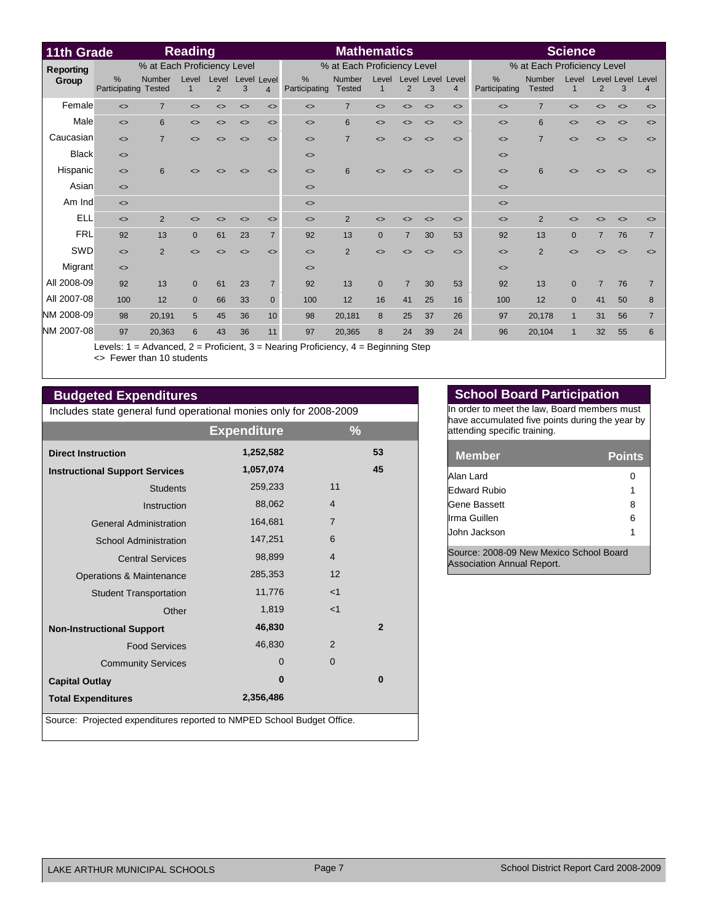| 11th Grade       |                              |                  | <b>Reading</b>    |                              |                              |                              |                              | <b>Mathematics</b>             |                      |                              |                              |                                     |                              |                         | <b>Science</b>               |                              |                              |                              |
|------------------|------------------------------|------------------|-------------------|------------------------------|------------------------------|------------------------------|------------------------------|--------------------------------|----------------------|------------------------------|------------------------------|-------------------------------------|------------------------------|-------------------------|------------------------------|------------------------------|------------------------------|------------------------------|
| <b>Reporting</b> | % at Each Proficiency Level  |                  |                   |                              |                              |                              | % at Each Proficiency Level  |                                |                      |                              |                              |                                     | % at Each Proficiency Level  |                         |                              |                              |                              |                              |
| Group            | %<br>Participating           | Number<br>Tested | Level<br>1        | Level<br>2                   | Level Level<br>3             | $\overline{4}$               | %<br>Participating           | <b>Number</b><br><b>Tested</b> | Level<br>$\mathbf 1$ | $\overline{2}$               | 3                            | Level Level Level<br>$\overline{4}$ | %<br>Participating           | Number<br><b>Tested</b> | Level<br>$\mathbf{1}$        | $\overline{2}$               | 3                            | Level Level Level<br>4       |
| Female           | $\leftrightarrow$            | $\overline{7}$   | $\leftrightarrow$ | $\left\langle \right\rangle$ | $\left\langle \right\rangle$ | $\leftrightarrow$            | $\leftrightarrow$            | $\overline{7}$                 | $\leftrightarrow$    | $\left\langle \right\rangle$ | $\left\langle \right\rangle$ | $\left\langle \right\rangle$        | $\leftrightarrow$            | $\overline{7}$          | $\left\langle \right\rangle$ | <>                           | $\leftrightarrow$            | $\left\langle \right\rangle$ |
| Male             | $\leftrightarrow$            | 6                | $\leftrightarrow$ | $\leftrightarrow$            | $\leftrightarrow$            | $\left\langle \right\rangle$ | $\leftrightarrow$            | 6                              | $\leftrightarrow$    | $\left\langle \right\rangle$ | $\leftrightarrow$            | $\left\langle \right\rangle$        | $\left\langle \right\rangle$ | 6                       | $\left\langle \right\rangle$ | $\left\langle \right\rangle$ | $\left\langle \right\rangle$ | $\left\langle \right\rangle$ |
| Caucasian        | $\leftrightarrow$            | $\overline{7}$   | $\leftrightarrow$ | <>                           | $\leftrightarrow$            | $\leftrightarrow$            | $\left\langle \right\rangle$ | $\overline{7}$                 | $\leftrightarrow$    | <>                           | $\left\langle \right\rangle$ | $\leftrightarrow$                   | $\leftrightarrow$            | $\overline{7}$          | $\leftrightarrow$            | <>                           | $\leftrightarrow$            | $\leftrightarrow$            |
| <b>Black</b>     | $\leq$                       |                  |                   |                              |                              |                              | $\left\langle \right\rangle$ |                                |                      |                              |                              |                                     | $\leftrightarrow$            |                         |                              |                              |                              |                              |
| Hispanic         | $\leq$                       | 6                | ◇                 |                              | <>                           | $\leq$                       | $\leftrightarrow$            | 6                              |                      |                              | $\leftrightarrow$            | $\leftrightarrow$                   | $\leftrightarrow$            | 6                       |                              |                              |                              | <>                           |
| Asian            | $\leq$                       |                  |                   |                              |                              |                              | $\left\langle \right\rangle$ |                                |                      |                              |                              |                                     | $\leftrightarrow$            |                         |                              |                              |                              |                              |
| Am Ind           | $\left\langle \right\rangle$ |                  |                   |                              |                              |                              | $\left\langle \right\rangle$ |                                |                      |                              |                              |                                     | $\left\langle \right\rangle$ |                         |                              |                              |                              |                              |
| <b>ELL</b>       | $\leq$                       | 2                |                   |                              | <>                           | $\leq$                       | $\left\langle \right\rangle$ | 2                              |                      |                              | ◇                            | $\leq$                              | $\leq$                       | $\overline{2}$          |                              |                              | <>                           |                              |
| <b>FRL</b>       | 92                           | 13               | $\mathbf{0}$      | 61                           | 23                           | $\overline{7}$               | 92                           | 13                             | $\Omega$             | $\overline{7}$               | 30                           | 53                                  | 92                           | 13                      | $\overline{0}$               | $\overline{7}$               | 76                           | $\overline{7}$               |
| SWD              | $\leq$                       | $\overline{2}$   | $\leftrightarrow$ | $\leftrightarrow$            | $\leftrightarrow$            | $\leftrightarrow$            | $\left\langle \right\rangle$ | 2                              | ⇔                    | <>                           | $\leftrightarrow$            | $\left\langle \right\rangle$        | $\leftrightarrow$            | $\overline{2}$          | くゝ                           | <>                           | ◇                            | $\leftrightarrow$            |
| Migrant          | $\left\langle \right\rangle$ |                  |                   |                              |                              |                              | $\left\langle \right\rangle$ |                                |                      |                              |                              |                                     | $\leftrightarrow$            |                         |                              |                              |                              |                              |
| All 2008-09      | 92                           | 13               | $\Omega$          | 61                           | 23                           | $\overline{7}$               | 92                           | 13                             | $\Omega$             |                              | 30                           | 53                                  | 92                           | 13                      | $\Omega$                     | $\overline{7}$               | 76                           |                              |
| All 2007-08      | 100                          | 12               | $\Omega$          | 66                           | 33                           | $\Omega$                     | 100                          | 12                             | 16                   | 41                           | 25                           | 16                                  | 100                          | 12                      | $\Omega$                     | 41                           | 50                           | 8                            |
| NM 2008-09       | 98                           | 20,191           | 5                 | 45                           | 36                           | 10                           | 98                           | 20,181                         | 8                    | 25                           | 37                           | 26                                  | 97                           | 20,178                  | $\mathbf{1}$                 | 31                           | 56                           | $\overline{7}$               |
| NM 2007-08       | 97                           | 20,363           | 6                 | 43                           | 36                           | 11                           | 97                           | 20,365                         | 8                    | 24                           | 39                           | 24                                  | 96                           | 20,104                  | $\mathbf{1}$                 | 32                           | 55                           | 6                            |

Levels: 1 = Advanced, 2 = Proficient, 3 = Nearing Proficiency, 4 = Beginning Step <> Fewer than 10 students

# **Budgeted Expenditures**

Includes state general fund operational monies only for 2008-2009

|                                                                        | <b>Expenditure</b> | $\frac{9}{6}$  |  |  |  |  |  |  |  |
|------------------------------------------------------------------------|--------------------|----------------|--|--|--|--|--|--|--|
| <b>Direct Instruction</b>                                              | 1,252,582          | 53             |  |  |  |  |  |  |  |
| <b>Instructional Support Services</b>                                  | 1,057,074          | 45             |  |  |  |  |  |  |  |
| <b>Students</b>                                                        | 259,233            | 11             |  |  |  |  |  |  |  |
| Instruction                                                            | 88,062             | $\overline{4}$ |  |  |  |  |  |  |  |
| <b>General Administration</b>                                          | 164,681            | $\overline{7}$ |  |  |  |  |  |  |  |
| <b>School Administration</b>                                           | 147,251            | 6              |  |  |  |  |  |  |  |
| <b>Central Services</b>                                                | 98,899             | $\overline{4}$ |  |  |  |  |  |  |  |
| Operations & Maintenance                                               | 285,353            | 12             |  |  |  |  |  |  |  |
| <b>Student Transportation</b>                                          | 11,776             | $<$ 1          |  |  |  |  |  |  |  |
| Other                                                                  | 1,819              | $<$ 1          |  |  |  |  |  |  |  |
| <b>Non-Instructional Support</b>                                       | 46,830             | $\overline{2}$ |  |  |  |  |  |  |  |
| <b>Food Services</b>                                                   | 46,830             | $\overline{2}$ |  |  |  |  |  |  |  |
| <b>Community Services</b>                                              | $\Omega$           | $\overline{0}$ |  |  |  |  |  |  |  |
| <b>Capital Outlay</b>                                                  | $\bf{0}$           | 0              |  |  |  |  |  |  |  |
| <b>Total Expenditures</b>                                              | 2,356,486          |                |  |  |  |  |  |  |  |
| Source: Projected expenditures reported to NMPED School Budget Office. |                    |                |  |  |  |  |  |  |  |

### **School Board Participation**

In order to meet the law, Board members must have accumulated five points during the year by attending specific training.

| <b>Member</b>       | <b>Points</b> |
|---------------------|---------------|
| Alan Lard           |               |
| <b>Edward Rubio</b> |               |
| <b>Gene Bassett</b> | 8             |
| Irma Guillen        | 6             |
| John Jackson        |               |

Source: 2008-09 New Mexico School Board Association Annual Report.